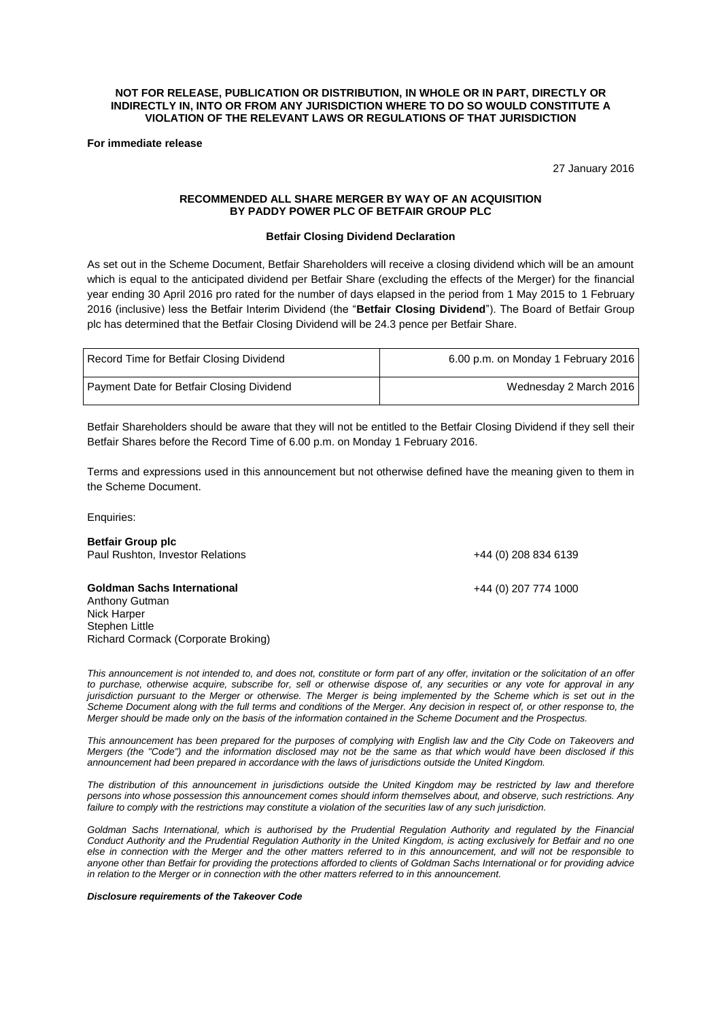# **NOT FOR RELEASE, PUBLICATION OR DISTRIBUTION, IN WHOLE OR IN PART, DIRECTLY OR INDIRECTLY IN, INTO OR FROM ANY JURISDICTION WHERE TO DO SO WOULD CONSTITUTE A VIOLATION OF THE RELEVANT LAWS OR REGULATIONS OF THAT JURISDICTION**

**For immediate release**

27 January 2016

# **RECOMMENDED ALL SHARE MERGER BY WAY OF AN ACQUISITION BY PADDY POWER PLC OF BETFAIR GROUP PLC**

# **Betfair Closing Dividend Declaration**

As set out in the Scheme Document, Betfair Shareholders will receive a closing dividend which will be an amount which is equal to the anticipated dividend per Betfair Share (excluding the effects of the Merger) for the financial year ending 30 April 2016 pro rated for the number of days elapsed in the period from 1 May 2015 to 1 February 2016 (inclusive) less the Betfair Interim Dividend (the "**Betfair Closing Dividend**"). The Board of Betfair Group plc has determined that the Betfair Closing Dividend will be 24.3 pence per Betfair Share.

| Record Time for Betfair Closing Dividend  | 6.00 p.m. on Monday 1 February 2016 |
|-------------------------------------------|-------------------------------------|
| Payment Date for Betfair Closing Dividend | Wednesday 2 March 2016              |

Betfair Shareholders should be aware that they will not be entitled to the Betfair Closing Dividend if they sell their Betfair Shares before the Record Time of 6.00 p.m. on Monday 1 February 2016.

Terms and expressions used in this announcement but not otherwise defined have the meaning given to them in the Scheme Document.

Enquiries:

| <b>Betfair Group plc</b><br>Paul Rushton, Investor Relations                                                                 | +44 (0) 208 834 6139 |
|------------------------------------------------------------------------------------------------------------------------------|----------------------|
| <b>Goldman Sachs International</b><br>Anthony Gutman<br>Nick Harper<br>Stephen Little<br>Richard Cormack (Corporate Broking) | +44 (0) 207 774 1000 |

*This announcement is not intended to, and does not, constitute or form part of any offer, invitation or the solicitation of an offer to purchase, otherwise acquire, subscribe for, sell or otherwise dispose of, any securities or any vote for approval in any jurisdiction pursuant to the Merger or otherwise. The Merger is being implemented by the Scheme which is set out in the Scheme Document along with the full terms and conditions of the Merger. Any decision in respect of, or other response to, the Merger should be made only on the basis of the information contained in the Scheme Document and the Prospectus.*

*This announcement has been prepared for the purposes of complying with English law and the City Code on Takeovers and Mergers (the "Code") and the information disclosed may not be the same as that which would have been disclosed if this announcement had been prepared in accordance with the laws of jurisdictions outside the United Kingdom.*

*The distribution of this announcement in jurisdictions outside the United Kingdom may be restricted by law and therefore persons into whose possession this announcement comes should inform themselves about, and observe, such restrictions. Any failure to comply with the restrictions may constitute a violation of the securities law of any such jurisdiction.*

Goldman Sachs International, which is authorised by the Prudential Regulation Authority and regulated by the Financial *Conduct Authority and the Prudential Regulation Authority in the United Kingdom, is acting exclusively for Betfair and no one else in connection with the Merger and the other matters referred to in this announcement, and will not be responsible to anyone other than Betfair for providing the protections afforded to clients of Goldman Sachs International or for providing advice in relation to the Merger or in connection with the other matters referred to in this announcement.*

### *Disclosure requirements of the Takeover Code*